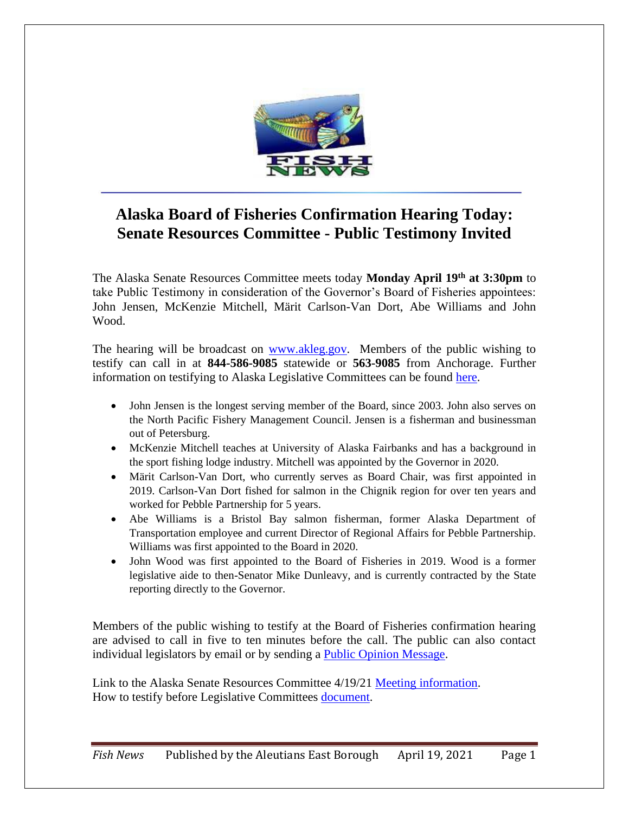

## **Alaska Board of Fisheries Confirmation Hearing Today: Senate Resources Committee - Public Testimony Invited**

The Alaska Senate Resources Committee meets today **Monday April 19th at 3:30pm** to take Public Testimony in consideration of the Governor's Board of Fisheries appointees: John Jensen, McKenzie Mitchell, Märit Carlson-Van Dort, Abe Williams and John Wood.

The hearing will be broadcast on [www.akleg.gov.](http://www.akleg.gov/) Members of the public wishing to testify can call in at **844-586-9085** statewide or **563-9085** from Anchorage. Further information on testifying to Alaska Legislative Committees can be found [here.](http://akleg.gov/pages/testify.php)

- John Jensen is the longest serving member of the Board, since 2003. John also serves on the North Pacific Fishery Management Council. Jensen is a fisherman and businessman out of Petersburg.
- McKenzie Mitchell teaches at University of Alaska Fairbanks and has a background in the sport fishing lodge industry. Mitchell was appointed by the Governor in 2020.
- Märit Carlson-Van Dort, who currently serves as Board Chair, was first appointed in 2019. Carlson-Van Dort fished for salmon in the Chignik region for over ten years and worked for Pebble Partnership for 5 years.
- Abe Williams is a Bristol Bay salmon fisherman, former Alaska Department of Transportation employee and current Director of Regional Affairs for Pebble Partnership. Williams was first appointed to the Board in 2020.
- John Wood was first appointed to the Board of Fisheries in 2019. Wood is a former legislative aide to then-Senator Mike Dunleavy, and is currently contracted by the State reporting directly to the Governor.

Members of the public wishing to testify at the Board of Fisheries confirmation hearing are advised to call in five to ten minutes before the call. The public can also contact individual legislators by email or by sending a [Public Opinion Message.](https://www.akleg.gov/poms/)

Link to the Alaska Senate Resources Committee 4/19/21 [Meeting information.](http://www.akleg.gov/basis/Meeting/Detail?Meeting=SRES%202021-04-19%2015:30:00#tab2_4e) How to testify before Legislative Committees [document.](http://akleg.gov/docs/pdf/New-Tips-for-Testifying-during-Covid-19.pdf)